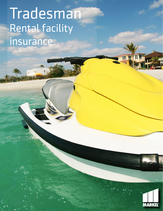# Trades Maria Rental facility insurance

Ш

MARKEL